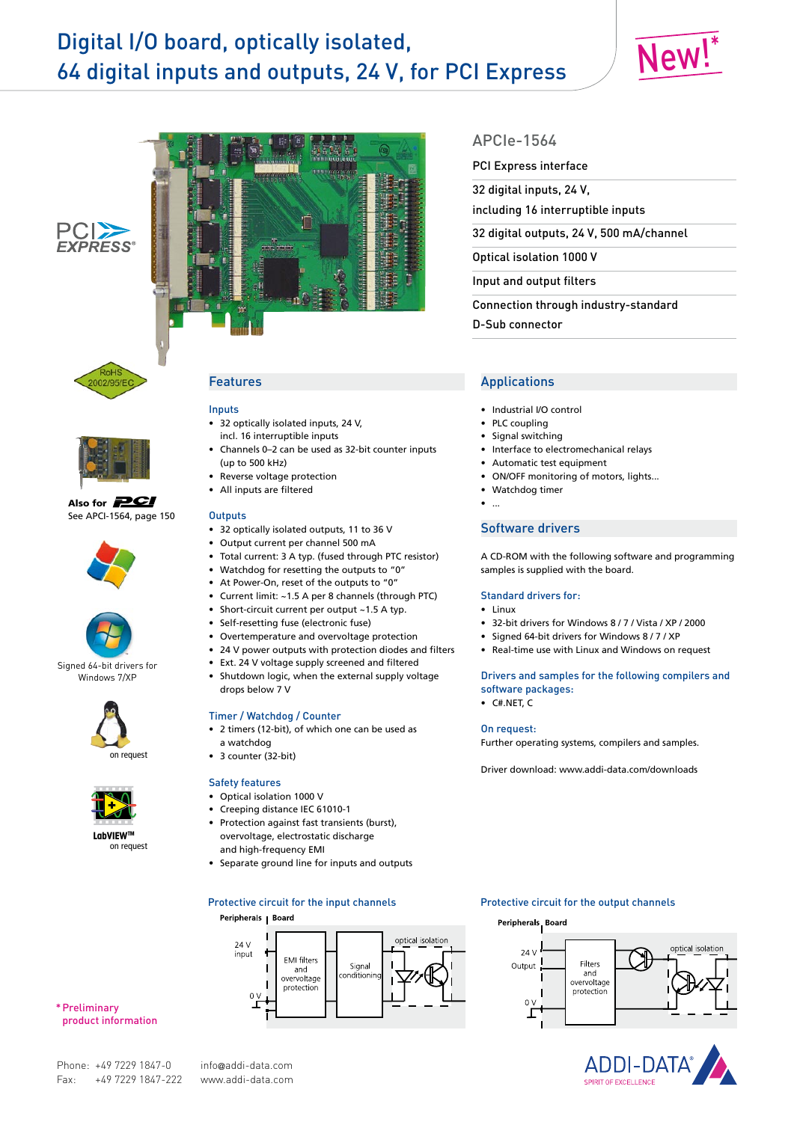# Digital I/O board, optically isolated, 64 digital inputs and outputs, 24 V, for PCI Express







**PCI** 



Also for **PCI** See APCI-1564, page 150





Signed 64-bit drivers for Windows 7/XP





**LabVIEWTM** on request

# Features

#### Inputs

- • 32 optically isolated inputs, 24 V, incl. 16 interruptible inputs
- Channels 0-2 can be used as 32-bit counter inputs (up to 500 kHz)
- Reverse voltage protection
- • All inputs are filtered

#### **Outputs**

- • 32 optically isolated outputs, 11 to 36 V
- • Output current per channel 500 mA
- • Total current: 3 A typ. (fused through PTC resistor)
- Watchdog for resetting the outputs to "0"
- At Power-On, reset of the outputs to "0"
- • Current limit: ~1.5 A per 8 channels (through PTC)
- Short-circuit current per output ~1.5 A typ.
- • Self-resetting fuse (electronic fuse)
- Overtemperature and overvoltage protection
- • 24 V power outputs with protection diodes and filters
- • Ext. 24 V voltage supply screened and filtered
- Shutdown logic, when the external supply voltage drops below 7 V

#### Timer / Watchdog / Counter

- • 2 timers (12-bit), of which one can be used as a watchdog
- • 3 counter (32-bit)

### Safety features

- • Optical isolation 1000 V
- • Creeping distance IEC 61010-1
- Protection against fast transients (burst), overvoltage, electrostatic discharge and high-frequency EMI
- • Separate ground line for inputs and outputs

#### Peripherals | Board



\* Preliminary product information

# APCIe-1564

#### PCI Express interface

32 digital inputs, 24 V,

including 16 interruptible inputs

32 digital outputs, 24 V, 500 mA/channel

Optical isolation 1000 V

Input and output filters

Connection through industry-standard

D-Sub connector

# Applications

- • Industrial I/O control
- PLC coupling
- • Signal switching
- Interface to electromechanical relays
- Automatic test equipment
- ON/OFF monitoring of motors, lights...
- Watchdog timer
- $\bullet$  ...

#### Software drivers

A CD-ROM with the following software and programming samples is supplied with the board.

#### Standard drivers for:

- • Linux
- 32-bit drivers for Windows 8 / 7 / Vista / XP / 2000
- Signed 64-bit drivers for Windows 8/7/XP
- • Real-time use with Linux and Windows on request

# Drivers and samples for the following compilers and software packages:

• C#.NET, C

#### On request:

Further operating systems, compilers and samples.

Driver download: www.addi-data.com/downloads

#### Protective circuit for the input channels **Protective circuit for the output channels**